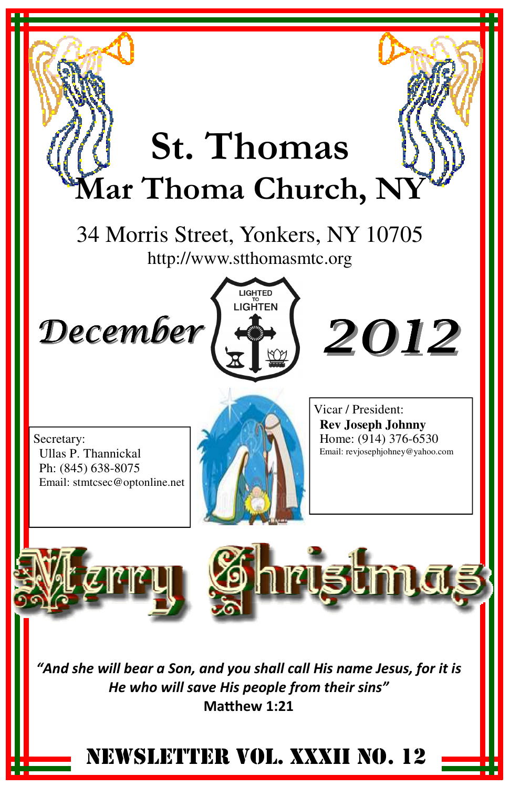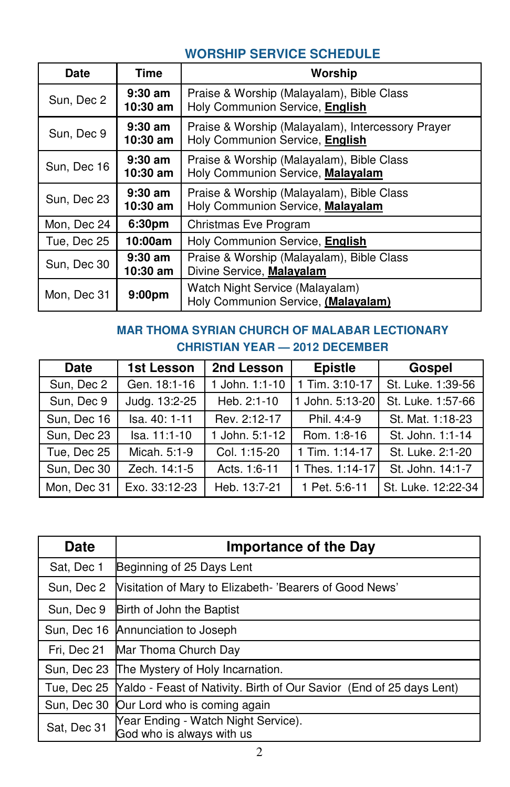## **WORSHIP SERVICE SCHEDULE**

| Date        | Time                    | Worship                                                                              |
|-------------|-------------------------|--------------------------------------------------------------------------------------|
| Sun, Dec 2  | $9:30$ am<br>$10:30$ am | Praise & Worship (Malayalam), Bible Class<br>Holy Communion Service, English         |
| Sun, Dec 9  | $9:30$ am<br>$10:30$ am | Praise & Worship (Malayalam), Intercessory Prayer<br>Holy Communion Service, English |
| Sun, Dec 16 | $9:30$ am<br>$10:30$ am | Praise & Worship (Malayalam), Bible Class<br>Holy Communion Service, Malayalam       |
| Sun, Dec 23 | $9:30$ am<br>$10:30$ am | Praise & Worship (Malayalam), Bible Class<br>Holy Communion Service, Malayalam       |
| Mon, Dec 24 | 6:30 <sub>pm</sub>      | Christmas Eve Program                                                                |
| Tue, Dec 25 | 10:00am                 | Holy Communion Service, English                                                      |
| Sun, Dec 30 | $9:30$ am<br>$10:30$ am | Praise & Worship (Malayalam), Bible Class<br>Divine Service, Malayalam               |
| Mon, Dec 31 | 9:00 <sub>pm</sub>      | Watch Night Service (Malayalam)<br>Holy Communion Service, (Malayalam)               |

### **MAR THOMA SYRIAN CHURCH OF MALABAR LECTIONARY CHRISTIAN YEAR — 2012 DECEMBER**

| Date        | 1st Lesson    | 2nd Lesson     | <b>Epistle</b>   | Gospel             |
|-------------|---------------|----------------|------------------|--------------------|
| Sun, Dec 2  | Gen. 18:1-16  | 1 John. 1:1-10 | $1$ Tim. 3:10-17 | St. Luke. 1:39-56  |
| Sun, Dec 9  | Judg. 13:2-25 | Heb. 2:1-10    | 1 John. 5:13-20  | St. Luke. 1:57-66  |
| Sun, Dec 16 | Isa. 40: 1-11 | Rev. 2:12-17   | Phil. 4:4-9      | St. Mat. 1:18-23   |
| Sun, Dec 23 | Isa. 11:1-10  | 1 John. 5:1-12 | Rom. 1:8-16      | St. John. 1:1-14   |
| Tue, Dec 25 | Micah. 5:1-9  | Col. 1:15-20   | 1 Tim. $1:14-17$ | St. Luke, 2:1-20   |
| Sun, Dec 30 | Zech. 14:1-5  | Acts. 1:6-11   | 1 Thes. 1:14-17  | St. John. 14:1-7   |
| Mon, Dec 31 | Exo. 33:12-23 | Heb. 13:7-21   | 1 Pet. 5:6-11    | St. Luke. 12:22-34 |

| <b>Date</b> | Importance of the Day                                                |
|-------------|----------------------------------------------------------------------|
| Sat, Dec 1  | Beginning of 25 Days Lent                                            |
| Sun, Dec 2  | Visitation of Mary to Elizabeth- 'Bearers of Good News'              |
| Sun, Dec 9  | Birth of John the Baptist                                            |
| Sun, Dec 16 | Annunciation to Joseph                                               |
| Fri, Dec 21 | Mar Thoma Church Day                                                 |
| Sun, Dec 23 | The Mystery of Holy Incarnation.                                     |
| Tue, Dec 25 | Yaldo - Feast of Nativity. Birth of Our Savior (End of 25 days Lent) |
| Sun, Dec 30 | Our Lord who is coming again                                         |
| Sat, Dec 31 | Year Ending - Watch Night Service).<br>God who is always with us     |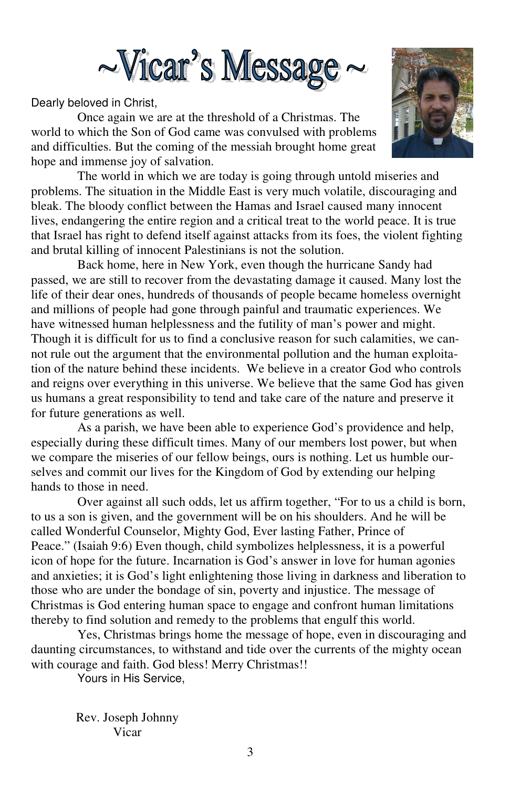

Dearly beloved in Christ,

Once again we are at the threshold of a Christmas. The world to which the Son of God came was convulsed with problems and difficulties. But the coming of the messiah brought home great hope and immense joy of salvation.

 The world in which we are today is going through untold miseries and problems. The situation in the Middle East is very much volatile, discouraging and bleak. The bloody conflict between the Hamas and Israel caused many innocent lives, endangering the entire region and a critical treat to the world peace. It is true that Israel has right to defend itself against attacks from its foes, the violent fighting and brutal killing of innocent Palestinians is not the solution.

 Back home, here in New York, even though the hurricane Sandy had passed, we are still to recover from the devastating damage it caused. Many lost the life of their dear ones, hundreds of thousands of people became homeless overnight and millions of people had gone through painful and traumatic experiences. We have witnessed human helplessness and the futility of man's power and might. Though it is difficult for us to find a conclusive reason for such calamities, we cannot rule out the argument that the environmental pollution and the human exploitation of the nature behind these incidents. We believe in a creator God who controls and reigns over everything in this universe. We believe that the same God has given us humans a great responsibility to tend and take care of the nature and preserve it for future generations as well.

 As a parish, we have been able to experience God's providence and help, especially during these difficult times. Many of our members lost power, but when we compare the miseries of our fellow beings, ours is nothing. Let us humble ourselves and commit our lives for the Kingdom of God by extending our helping hands to those in need.

 Over against all such odds, let us affirm together, "For to us a child is born, to us a son is given, and the government will be on his shoulders. And he will be called Wonderful Counselor, Mighty God, Ever lasting Father, Prince of Peace." (Isaiah 9:6) Even though, child symbolizes helplessness, it is a powerful icon of hope for the future. Incarnation is God's answer in love for human agonies and anxieties; it is God's light enlightening those living in darkness and liberation to those who are under the bondage of sin, poverty and injustice. The message of Christmas is God entering human space to engage and confront human limitations thereby to find solution and remedy to the problems that engulf this world.

 Yes, Christmas brings home the message of hope, even in discouraging and daunting circumstances, to withstand and tide over the currents of the mighty ocean with courage and faith. God bless! Merry Christmas!!

Yours in His Service,

Rev. Joseph Johnny Vicar

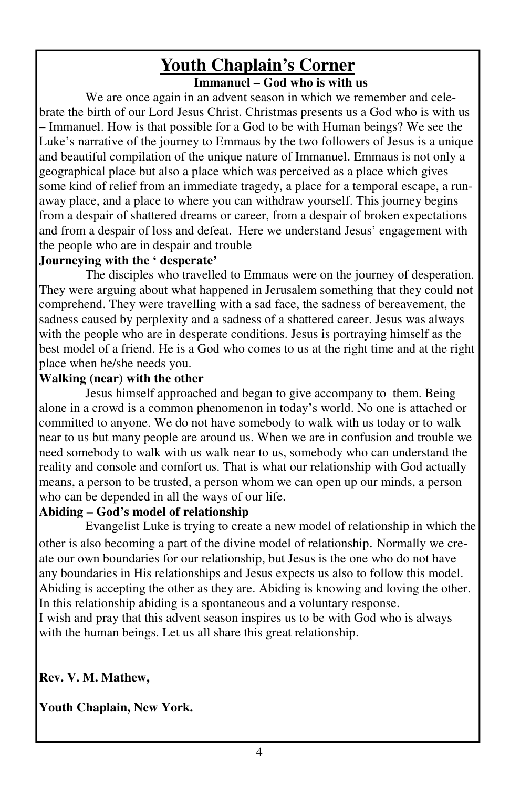# **Youth Chaplain's Corner**

**Immanuel – God who is with us** 

 We are once again in an advent season in which we remember and celebrate the birth of our Lord Jesus Christ. Christmas presents us a God who is with us – Immanuel. How is that possible for a God to be with Human beings? We see the Luke's narrative of the journey to Emmaus by the two followers of Jesus is a unique and beautiful compilation of the unique nature of Immanuel. Emmaus is not only a geographical place but also a place which was perceived as a place which gives some kind of relief from an immediate tragedy, a place for a temporal escape, a runaway place, and a place to where you can withdraw yourself. This journey begins from a despair of shattered dreams or career, from a despair of broken expectations and from a despair of loss and defeat. Here we understand Jesus' engagement with the people who are in despair and trouble

### **Journeying with the ' desperate'**

 The disciples who travelled to Emmaus were on the journey of desperation. They were arguing about what happened in Jerusalem something that they could not comprehend. They were travelling with a sad face, the sadness of bereavement, the sadness caused by perplexity and a sadness of a shattered career. Jesus was always with the people who are in desperate conditions. Jesus is portraying himself as the best model of a friend. He is a God who comes to us at the right time and at the right place when he/she needs you.

### **Walking (near) with the other**

 Jesus himself approached and began to give accompany to them. Being alone in a crowd is a common phenomenon in today's world. No one is attached or committed to anyone. We do not have somebody to walk with us today or to walk near to us but many people are around us. When we are in confusion and trouble we need somebody to walk with us walk near to us, somebody who can understand the reality and console and comfort us. That is what our relationship with God actually means, a person to be trusted, a person whom we can open up our minds, a person who can be depended in all the ways of our life.

### **Abiding – God's model of relationship**

 Evangelist Luke is trying to create a new model of relationship in which the other is also becoming a part of the divine model of relationship. Normally we create our own boundaries for our relationship, but Jesus is the one who do not have any boundaries in His relationships and Jesus expects us also to follow this model. Abiding is accepting the other as they are. Abiding is knowing and loving the other. In this relationship abiding is a spontaneous and a voluntary response. I wish and pray that this advent season inspires us to be with God who is always

with the human beings. Let us all share this great relationship.

### **Rev. V. M. Mathew,**

**Youth Chaplain, New York.**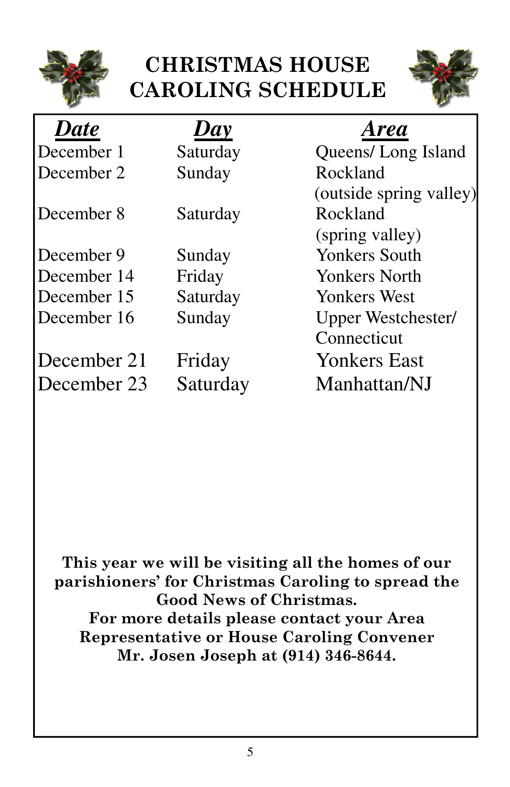

# CHRISTMAS HOUSE CAROLING SCHEDULE



| <b>Date</b> | Day      | <b>Area</b>               |
|-------------|----------|---------------------------|
| December 1  | Saturday | Queens/Long Island        |
| December 2  | Sunday   | Rockland                  |
|             |          | (outside spring valley)   |
| December 8  | Saturday | Rockland                  |
|             |          | (spring valley)           |
| December 9  | Sunday   | <b>Yonkers South</b>      |
| December 14 | Friday   | <b>Yonkers North</b>      |
| December 15 | Saturday | <b>Yonkers West</b>       |
| December 16 | Sunday   | <b>Upper Westchester/</b> |
|             |          | Connecticut               |
| December 21 | Friday   | <b>Yonkers East</b>       |
| December 23 | Saturday | Manhattan/NJ              |

This year we will be visiting all the homes of our parishioners' for Christmas Caroling to spread the Good News of Christmas. For more details please contact your Area Representative or House Caroling Convener Mr. Josen Joseph at (914) 346-8644.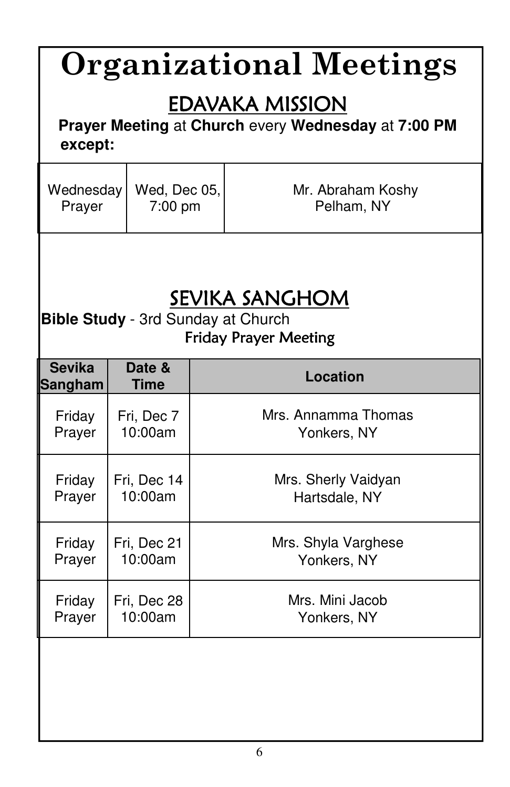| <b>Organizational Meetings</b>                                                              |                       |  |                     |  |
|---------------------------------------------------------------------------------------------|-----------------------|--|---------------------|--|
| <b>EDAVAKA MISSION</b><br>Prayer Meeting at Church every Wednesday at 7:00 PM<br>except:    |                       |  |                     |  |
| Wednesday                                                                                   | Wed, Dec 05,          |  | Mr. Abraham Koshy   |  |
| Prayer                                                                                      | $7:00$ pm             |  | Pelham, NY          |  |
| SEVIKA SANGHOM<br><b>Bible Study</b> - 3rd Sunday at Church<br><b>Friday Prayer Meeting</b> |                       |  |                     |  |
| <b>Sevika</b><br><b>Sangham</b>                                                             | Date &<br><b>Time</b> |  | <b>Location</b>     |  |
| Friday                                                                                      | Fri, Dec 7            |  | Mrs. Annamma Thomas |  |
| Prayer                                                                                      | 10:00am               |  | Yonkers, NY         |  |
| Friday                                                                                      | Fri, Dec 14           |  | Mrs. Sherly Vaidyan |  |
| Prayer                                                                                      | 10:00am               |  | Hartsdale, NY       |  |
| Friday                                                                                      | Fri, Dec 21           |  | Mrs. Shyla Varghese |  |
| Prayer                                                                                      | 10:00am               |  | Yonkers, NY         |  |
| Friday                                                                                      | Fri, Dec 28           |  | Mrs. Mini Jacob     |  |
| Prayer                                                                                      | 10:00am               |  | Yonkers, NY         |  |
|                                                                                             |                       |  |                     |  |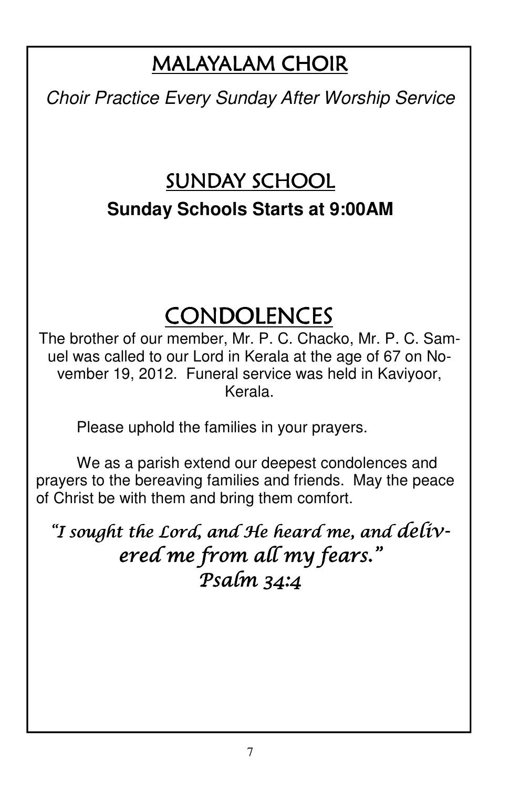# MALAYALAM CHOIR

Choir Practice Every Sunday After Worship Service

# SUNDAY SCHOOL **Sunday Schools Starts at 9:00AM**

# CONDOLENCES

The brother of our member, Mr. P. C. Chacko, Mr. P. C. Samuel was called to our Lord in Kerala at the age of 67 on November 19, 2012. Funeral service was held in Kaviyoor, Kerala.

Please uphold the families in your prayers.

 We as a parish extend our deepest condolences and prayers to the bereaving families and friends. May the peace of Christ be with them and bring them comfort.

"I sought the Lord, and He heard me, and delivered me from all my fears." Psalm 34:4